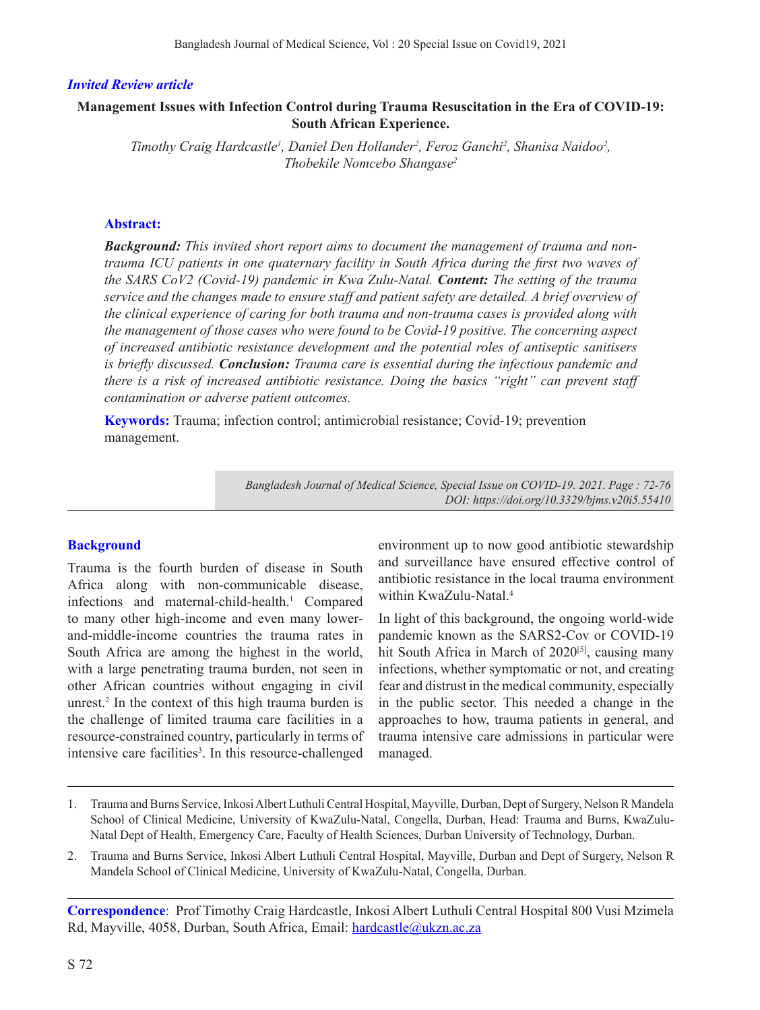# *Invited Review article*

# **Management Issues with Infection Control during Trauma Resuscitation in the Era of COVID-19: South African Experience.**

Timothy Craig Hardcastle<sup>1</sup>, Daniel Den Hollander<sup>2</sup>, Feroz Ganchi<sup>2</sup>, Shanisa Naidoo<sup>2</sup>, *Thobekile Nomcebo Shangase2*

# **Abstract:**

*Background: This invited short report aims to document the management of trauma and nontrauma ICU patients in one quaternary facility in South Africa during the first two waves of the SARS CoV2 (Covid-19) pandemic in Kwa Zulu-Natal. Content: The setting of the trauma service and the changes made to ensure staff and patient safety are detailed. A brief overview of the clinical experience of caring for both trauma and non-trauma cases is provided along with the management of those cases who were found to be Covid-19 positive. The concerning aspect of increased antibiotic resistance development and the potential roles of antiseptic sanitisers is briefly discussed. Conclusion: Trauma care is essential during the infectious pandemic and there is a risk of increased antibiotic resistance. Doing the basics "right" can prevent staff contamination or adverse patient outcomes.*

**Keywords:** Trauma; infection control; antimicrobial resistance; Covid-19; prevention management.

> *Bangladesh Journal of Medical Science, Special Issue on COVID-19. 2021. Page : 72-76 DOI: https://doi.org/10.3329/bjms.v20i5.55410*

## **Background**

Trauma is the fourth burden of disease in South Africa along with non-communicable disease, infections and maternal-child-health.<sup>1</sup> Compared to many other high-income and even many lowerand-middle-income countries the trauma rates in South Africa are among the highest in the world, with a large penetrating trauma burden, not seen in other African countries without engaging in civil unrest.2 In the context of this high trauma burden is the challenge of limited trauma care facilities in a resource-constrained country, particularly in terms of intensive care facilities<sup>3</sup>. In this resource-challenged environment up to now good antibiotic stewardship and surveillance have ensured effective control of antibiotic resistance in the local trauma environment within KwaZulu-Natal.4

In light of this background, the ongoing world-wide pandemic known as the SARS2-Cov or COVID-19 hit South Africa in March of 2020<sup>[5]</sup>, causing many infections, whether symptomatic or not, and creating fear and distrust in the medical community, especially in the public sector. This needed a change in the approaches to how, trauma patients in general, and trauma intensive care admissions in particular were managed.

- 1. Trauma and Burns Service, Inkosi Albert Luthuli Central Hospital, Mayville, Durban, Dept of Surgery, Nelson R Mandela School of Clinical Medicine, University of KwaZulu-Natal, Congella, Durban, Head: Trauma and Burns, KwaZulu-Natal Dept of Health, Emergency Care, Faculty of Health Sciences, Durban University of Technology, Durban.
- 2. Trauma and Burns Service, Inkosi Albert Luthuli Central Hospital, Mayville, Durban and Dept of Surgery, Nelson R Mandela School of Clinical Medicine, University of KwaZulu-Natal, Congella, Durban.

**Correspondence**: Prof Timothy Craig Hardcastle, Inkosi Albert Luthuli Central Hospital 800 Vusi Mzimela Rd, Mayville, 4058, Durban, South Africa, Email: hardcastle@ukzn.ac.za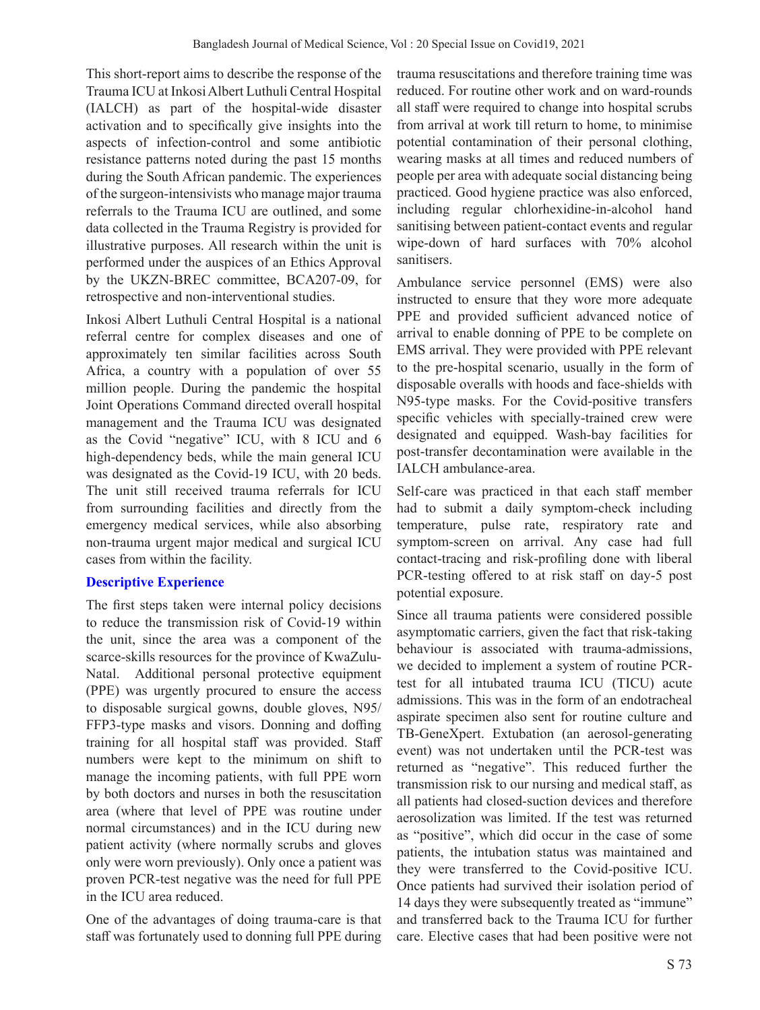This short-report aims to describe the response of the Trauma ICU at Inkosi Albert Luthuli Central Hospital (IALCH) as part of the hospital-wide disaster activation and to specifically give insights into the aspects of infection-control and some antibiotic resistance patterns noted during the past 15 months during the South African pandemic. The experiences of the surgeon-intensivists who manage major trauma referrals to the Trauma ICU are outlined, and some data collected in the Trauma Registry is provided for illustrative purposes. All research within the unit is performed under the auspices of an Ethics Approval by the UKZN-BREC committee, BCA207-09, for retrospective and non-interventional studies.

Inkosi Albert Luthuli Central Hospital is a national referral centre for complex diseases and one of approximately ten similar facilities across South Africa, a country with a population of over 55 million people. During the pandemic the hospital Joint Operations Command directed overall hospital management and the Trauma ICU was designated as the Covid "negative" ICU, with 8 ICU and 6 high-dependency beds, while the main general ICU was designated as the Covid-19 ICU, with 20 beds. The unit still received trauma referrals for ICU from surrounding facilities and directly from the emergency medical services, while also absorbing non-trauma urgent major medical and surgical ICU cases from within the facility.

# **Descriptive Experience**

The first steps taken were internal policy decisions to reduce the transmission risk of Covid-19 within the unit, since the area was a component of the scarce-skills resources for the province of KwaZulu-Natal. Additional personal protective equipment (PPE) was urgently procured to ensure the access to disposable surgical gowns, double gloves, N95/ FFP3-type masks and visors. Donning and doffing training for all hospital staff was provided. Staff numbers were kept to the minimum on shift to manage the incoming patients, with full PPE worn by both doctors and nurses in both the resuscitation area (where that level of PPE was routine under normal circumstances) and in the ICU during new patient activity (where normally scrubs and gloves only were worn previously). Only once a patient was proven PCR-test negative was the need for full PPE in the ICU area reduced.

One of the advantages of doing trauma-care is that staff was fortunately used to donning full PPE during trauma resuscitations and therefore training time was reduced. For routine other work and on ward-rounds all staff were required to change into hospital scrubs from arrival at work till return to home, to minimise potential contamination of their personal clothing, wearing masks at all times and reduced numbers of people per area with adequate social distancing being practiced. Good hygiene practice was also enforced, including regular chlorhexidine-in-alcohol hand sanitising between patient-contact events and regular wipe-down of hard surfaces with 70% alcohol sanitisers.

Ambulance service personnel (EMS) were also instructed to ensure that they wore more adequate PPE and provided sufficient advanced notice of arrival to enable donning of PPE to be complete on EMS arrival. They were provided with PPE relevant to the pre-hospital scenario, usually in the form of disposable overalls with hoods and face-shields with N95-type masks. For the Covid-positive transfers specific vehicles with specially-trained crew were designated and equipped. Wash-bay facilities for post-transfer decontamination were available in the IALCH ambulance-area.

Self-care was practiced in that each staff member had to submit a daily symptom-check including temperature, pulse rate, respiratory rate and symptom-screen on arrival. Any case had full contact-tracing and risk-profiling done with liberal PCR-testing offered to at risk staff on day-5 post potential exposure.

Since all trauma patients were considered possible asymptomatic carriers, given the fact that risk-taking behaviour is associated with trauma-admissions, we decided to implement a system of routine PCRtest for all intubated trauma ICU (TICU) acute admissions. This was in the form of an endotracheal aspirate specimen also sent for routine culture and TB-GeneXpert. Extubation (an aerosol-generating event) was not undertaken until the PCR-test was returned as "negative". This reduced further the transmission risk to our nursing and medical staff, as all patients had closed-suction devices and therefore aerosolization was limited. If the test was returned as "positive", which did occur in the case of some patients, the intubation status was maintained and they were transferred to the Covid-positive ICU. Once patients had survived their isolation period of 14 days they were subsequently treated as "immune" and transferred back to the Trauma ICU for further care. Elective cases that had been positive were not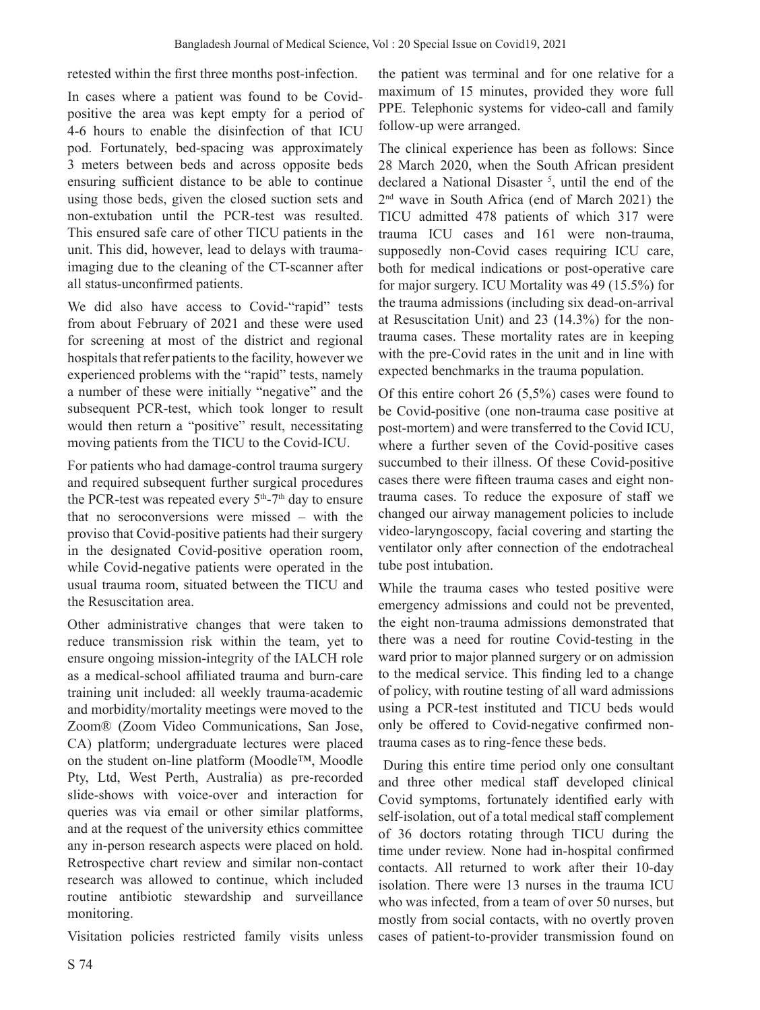retested within the first three months post-infection.

In cases where a patient was found to be Covidpositive the area was kept empty for a period of 4-6 hours to enable the disinfection of that ICU pod. Fortunately, bed-spacing was approximately 3 meters between beds and across opposite beds ensuring sufficient distance to be able to continue using those beds, given the closed suction sets and non-extubation until the PCR-test was resulted. This ensured safe care of other TICU patients in the unit. This did, however, lead to delays with traumaimaging due to the cleaning of the CT-scanner after all status-unconfirmed patients.

We did also have access to Covid-"rapid" tests from about February of 2021 and these were used for screening at most of the district and regional hospitals that refer patients to the facility, however we experienced problems with the "rapid" tests, namely a number of these were initially "negative" and the subsequent PCR-test, which took longer to result would then return a "positive" result, necessitating moving patients from the TICU to the Covid-ICU.

For patients who had damage-control trauma surgery and required subsequent further surgical procedures the PCR-test was repeated every  $5<sup>th</sup>$ -7<sup>th</sup> day to ensure that no seroconversions were missed – with the proviso that Covid-positive patients had their surgery in the designated Covid-positive operation room, while Covid-negative patients were operated in the usual trauma room, situated between the TICU and the Resuscitation area.

Other administrative changes that were taken to reduce transmission risk within the team, yet to ensure ongoing mission-integrity of the IALCH role as a medical-school affiliated trauma and burn-care training unit included: all weekly trauma-academic and morbidity/mortality meetings were moved to the Zoom® (Zoom Video Communications, San Jose, CA) platform; undergraduate lectures were placed on the student on-line platform (Moodle™, Moodle Pty, Ltd, West Perth, Australia) as pre-recorded slide-shows with voice-over and interaction for queries was via email or other similar platforms, and at the request of the university ethics committee any in-person research aspects were placed on hold. Retrospective chart review and similar non-contact research was allowed to continue, which included routine antibiotic stewardship and surveillance monitoring.

Visitation policies restricted family visits unless

the patient was terminal and for one relative for a maximum of 15 minutes, provided they wore full PPE. Telephonic systems for video-call and family follow-up were arranged.

The clinical experience has been as follows: Since 28 March 2020, when the South African president declared a National Disaster 5 , until the end of the 2nd wave in South Africa (end of March 2021) the TICU admitted 478 patients of which 317 were trauma ICU cases and 161 were non-trauma, supposedly non-Covid cases requiring ICU care, both for medical indications or post-operative care for major surgery. ICU Mortality was 49 (15.5%) for the trauma admissions (including six dead-on-arrival at Resuscitation Unit) and 23 (14.3%) for the nontrauma cases. These mortality rates are in keeping with the pre-Covid rates in the unit and in line with expected benchmarks in the trauma population.

Of this entire cohort 26 (5,5%) cases were found to be Covid-positive (one non-trauma case positive at post-mortem) and were transferred to the Covid ICU, where a further seven of the Covid-positive cases succumbed to their illness. Of these Covid-positive cases there were fifteen trauma cases and eight nontrauma cases. To reduce the exposure of staff we changed our airway management policies to include video-laryngoscopy, facial covering and starting the ventilator only after connection of the endotracheal tube post intubation.

While the trauma cases who tested positive were emergency admissions and could not be prevented, the eight non-trauma admissions demonstrated that there was a need for routine Covid-testing in the ward prior to major planned surgery or on admission to the medical service. This finding led to a change of policy, with routine testing of all ward admissions using a PCR-test instituted and TICU beds would only be offered to Covid-negative confirmed nontrauma cases as to ring-fence these beds.

 During this entire time period only one consultant and three other medical staff developed clinical Covid symptoms, fortunately identified early with self-isolation, out of a total medical staff complement of 36 doctors rotating through TICU during the time under review. None had in-hospital confirmed contacts. All returned to work after their 10-day isolation. There were 13 nurses in the trauma ICU who was infected, from a team of over 50 nurses, but mostly from social contacts, with no overtly proven cases of patient-to-provider transmission found on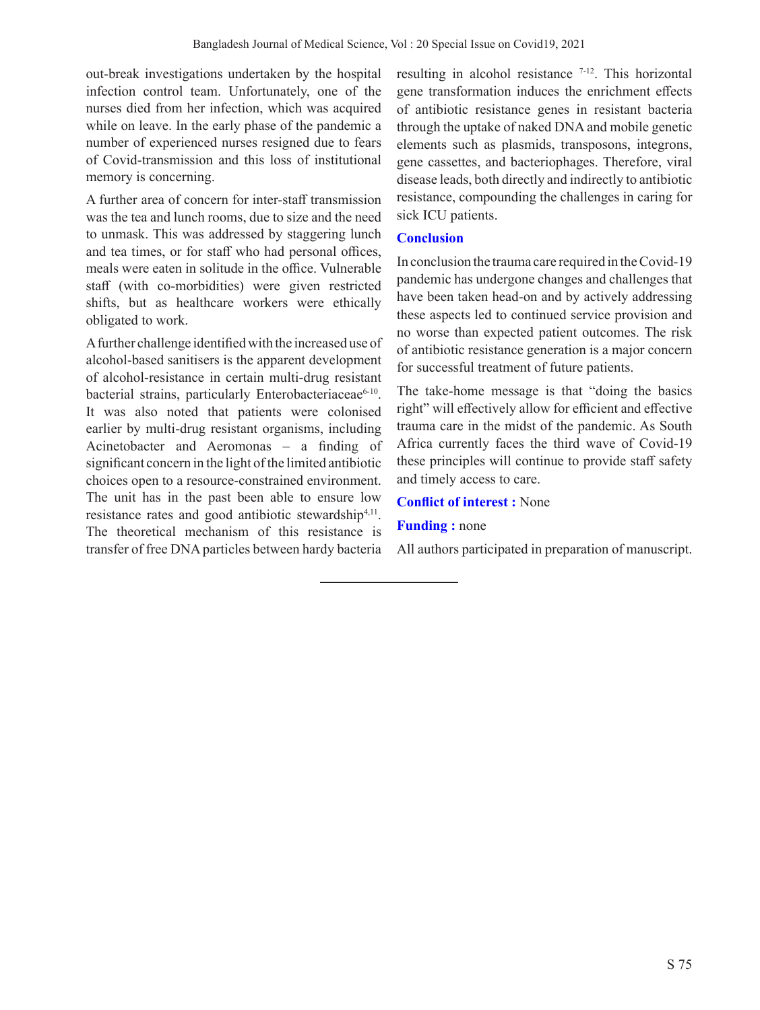out-break investigations undertaken by the hospital infection control team. Unfortunately, one of the nurses died from her infection, which was acquired while on leave. In the early phase of the pandemic a number of experienced nurses resigned due to fears of Covid-transmission and this loss of institutional memory is concerning.

A further area of concern for inter-staff transmission was the tea and lunch rooms, due to size and the need to unmask. This was addressed by staggering lunch and tea times, or for staff who had personal offices, meals were eaten in solitude in the office. Vulnerable staff (with co-morbidities) were given restricted shifts, but as healthcare workers were ethically obligated to work.

A further challenge identified with the increased use of alcohol-based sanitisers is the apparent development of alcohol-resistance in certain multi-drug resistant bacterial strains, particularly Enterobacteriaceae<sup>6-10</sup>. It was also noted that patients were colonised earlier by multi-drug resistant organisms, including Acinetobacter and Aeromonas – a finding of significant concern in the light of the limited antibiotic choices open to a resource-constrained environment. The unit has in the past been able to ensure low resistance rates and good antibiotic stewardship<sup>4,11</sup>. The theoretical mechanism of this resistance is transfer of free DNA particles between hardy bacteria

resulting in alcohol resistance  $7-12$ . This horizontal gene transformation induces the enrichment effects of antibiotic resistance genes in resistant bacteria through the uptake of naked DNA and mobile genetic elements such as plasmids, transposons, integrons, gene cassettes, and bacteriophages. Therefore, viral disease leads, both directly and indirectly to antibiotic resistance, compounding the challenges in caring for sick ICU patients.

# **Conclusion**

In conclusion the trauma care required in the Covid-19 pandemic has undergone changes and challenges that have been taken head-on and by actively addressing these aspects led to continued service provision and no worse than expected patient outcomes. The risk of antibiotic resistance generation is a major concern for successful treatment of future patients.

The take-home message is that "doing the basics right" will effectively allow for efficient and effective trauma care in the midst of the pandemic. As South Africa currently faces the third wave of Covid-19 these principles will continue to provide staff safety and timely access to care.

#### **Conflict of interest :** None

## **Funding :** none

All authors participated in preparation of manuscript.